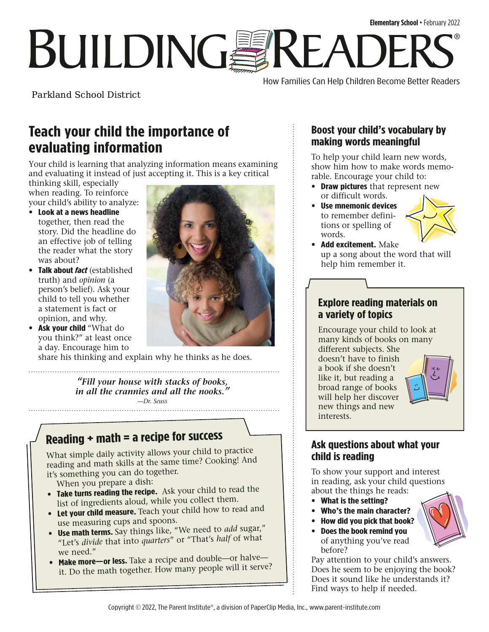How Families Can Help Children Become Better Readers

Parkland School District

# **Teach your child the importance of evaluating information**

Your child is learning that analyzing information means examining and evaluating it instead of just accepting it. This is a key critical

thinking skill, especially when reading. To reinforce your child's ability to analyze:

- **Look at a news headline**  together, then read the story. Did the headline do an effective job of telling the reader what the story was about?
- **Talk about** *fact* (established truth) and *opinion* (a person's belief). Ask your child to tell you whether a statement is fact or opinion, and why.
- **Ask your child** "What do you think?" at least once a day. Encourage him to

share his thinking and explain why he thinks as he does.

*"Fill your house with stacks of books, in all the crannies and all the nooks."* —*Dr. Seuss*

# **Reading + math = a recipe for success**

What simple daily activity allows your child to practice reading and math skills at the same time? Cooking! And it's something you can do together.

When you prepare a dish:

- **Take turns reading the recipe.** Ask your child to read the list of ingredients aloud, while you collect them.
- **Let your child measure.** Teach your child how to read and use measuring cups and spoons.
- **Use math terms.** Say things like, "We need to *add* sugar," "Let's *divide* that into *quarters*" or "That's *half* of what we need."
- **Make more—or less.** Take a recipe and double—or halve it. Do the math together. How many people will it serve?

## **Boost your child's vocabulary by making words meaningful**

To help your child learn new words, show him how to make words memorable. Encourage your child to:

- **Draw pictures** that represent new or difficult words.
- **Use mnemonic devices** to remember definitions or spelling of words.



• **Add excitement.** Make up a song about the word that will help him remember it.

### **Explore reading materials on a variety of topics**

Encourage your child to look at many kinds of books on many different subjects. She

doesn't have to finish a book if she doesn't like it, but reading a broad range of books will help her discover new things and new interests.



### **Ask questions about what your child is reading**

To show your support and interest in reading, ask your child questions about the things he reads:

- **What is the setting?**
- **Who's the main character?**
- **How did you pick that book?**
- **Does the book remind you**  of anything you've read before?

Pay attention to your child's answers. Does he seem to be enjoying the book? Does it sound like he understands it? Find ways to help if needed.